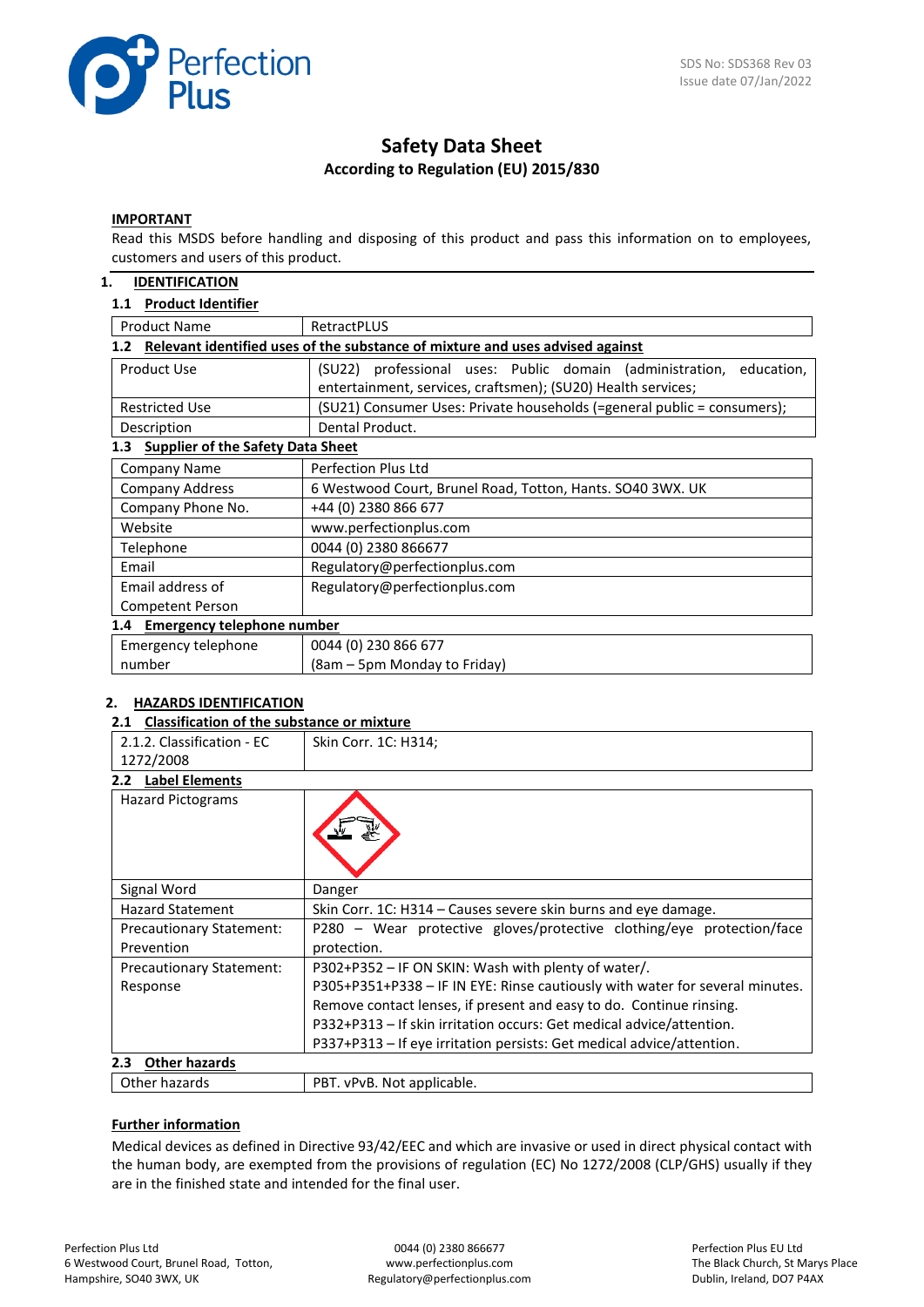

# **Safety Data Sheet According to Regulation (EU) 2015/830**

#### **IMPORTANT**

Read this MSDS before handling and disposing of this product and pass this information on to employees, customers and users of this product.

#### **1. IDENTIFICATION**

#### **1.1 Product Identifier**

| <b>Product Name</b>                                                                  | RetractPLUS                                                                                                                            |  |  |
|--------------------------------------------------------------------------------------|----------------------------------------------------------------------------------------------------------------------------------------|--|--|
| Relevant identified uses of the substance of mixture and uses advised against<br>1.2 |                                                                                                                                        |  |  |
| Product Use                                                                          | (SU22) professional uses: Public domain (administration,<br>education,<br>entertainment, services, craftsmen); (SU20) Health services; |  |  |
| <b>Restricted Use</b>                                                                | (SU21) Consumer Uses: Private households (=general public = consumers);                                                                |  |  |
| Description                                                                          | Dental Product.                                                                                                                        |  |  |
| <b>Supplier of the Safety Data Sheet</b><br>1.3                                      |                                                                                                                                        |  |  |
| Company Name                                                                         | Perfection Plus Ltd                                                                                                                    |  |  |
| <b>Company Address</b>                                                               | 6 Westwood Court, Brunel Road, Totton, Hants. SO40 3WX. UK                                                                             |  |  |
| Company Phone No.                                                                    | +44 (0) 2380 866 677                                                                                                                   |  |  |
| Website                                                                              | www.perfectionplus.com                                                                                                                 |  |  |
| Telephone                                                                            | 0044 (0) 2380 866677                                                                                                                   |  |  |
| Email                                                                                | Regulatory@perfectionplus.com                                                                                                          |  |  |
| Email address of                                                                     | Regulatory@perfectionplus.com                                                                                                          |  |  |
| Competent Person                                                                     |                                                                                                                                        |  |  |
| 1.4 Emergency telephone number                                                       |                                                                                                                                        |  |  |
| Emergency telephone                                                                  | 0044 (0) 230 866 677                                                                                                                   |  |  |
| number                                                                               | (8am – 5pm Monday to Friday)                                                                                                           |  |  |

## **2. HAZARDS IDENTIFICATION**

#### **2.1 Classification of the substance or mixture**

| 2.1.2. Classification - EC                                                                               | Skin Corr. 1C: H314;                                                         |  |
|----------------------------------------------------------------------------------------------------------|------------------------------------------------------------------------------|--|
| 1272/2008                                                                                                |                                                                              |  |
| <b>Label Elements</b><br>2.2 <sub>2</sub>                                                                |                                                                              |  |
| <b>Hazard Pictograms</b>                                                                                 |                                                                              |  |
| Signal Word                                                                                              | Danger                                                                       |  |
| <b>Hazard Statement</b>                                                                                  | Skin Corr. 1C: H314 – Causes severe skin burns and eye damage.               |  |
| P280 - Wear protective gloves/protective clothing/eye protection/face<br><b>Precautionary Statement:</b> |                                                                              |  |
| Prevention                                                                                               | protection.                                                                  |  |
| Precautionary Statement:                                                                                 | P302+P352 – IF ON SKIN: Wash with plenty of water/.                          |  |
| Response                                                                                                 | P305+P351+P338 - IF IN EYE: Rinse cautiously with water for several minutes. |  |
|                                                                                                          | Remove contact lenses, if present and easy to do. Continue rinsing.          |  |
|                                                                                                          | P332+P313 - If skin irritation occurs: Get medical advice/attention.         |  |
|                                                                                                          | P337+P313 – If eye irritation persists: Get medical advice/attention.        |  |
| 2.3<br><b>Other hazards</b>                                                                              |                                                                              |  |
| Other hazards                                                                                            | PBT. vPvB. Not applicable.                                                   |  |

#### **Further information**

Medical devices as defined in Directive 93/42/EEC and which are invasive or used in direct physical contact with the human body, are exempted from the provisions of regulation (EC) No 1272/2008 (CLP/GHS) usually if they are in the finished state and intended for the final user.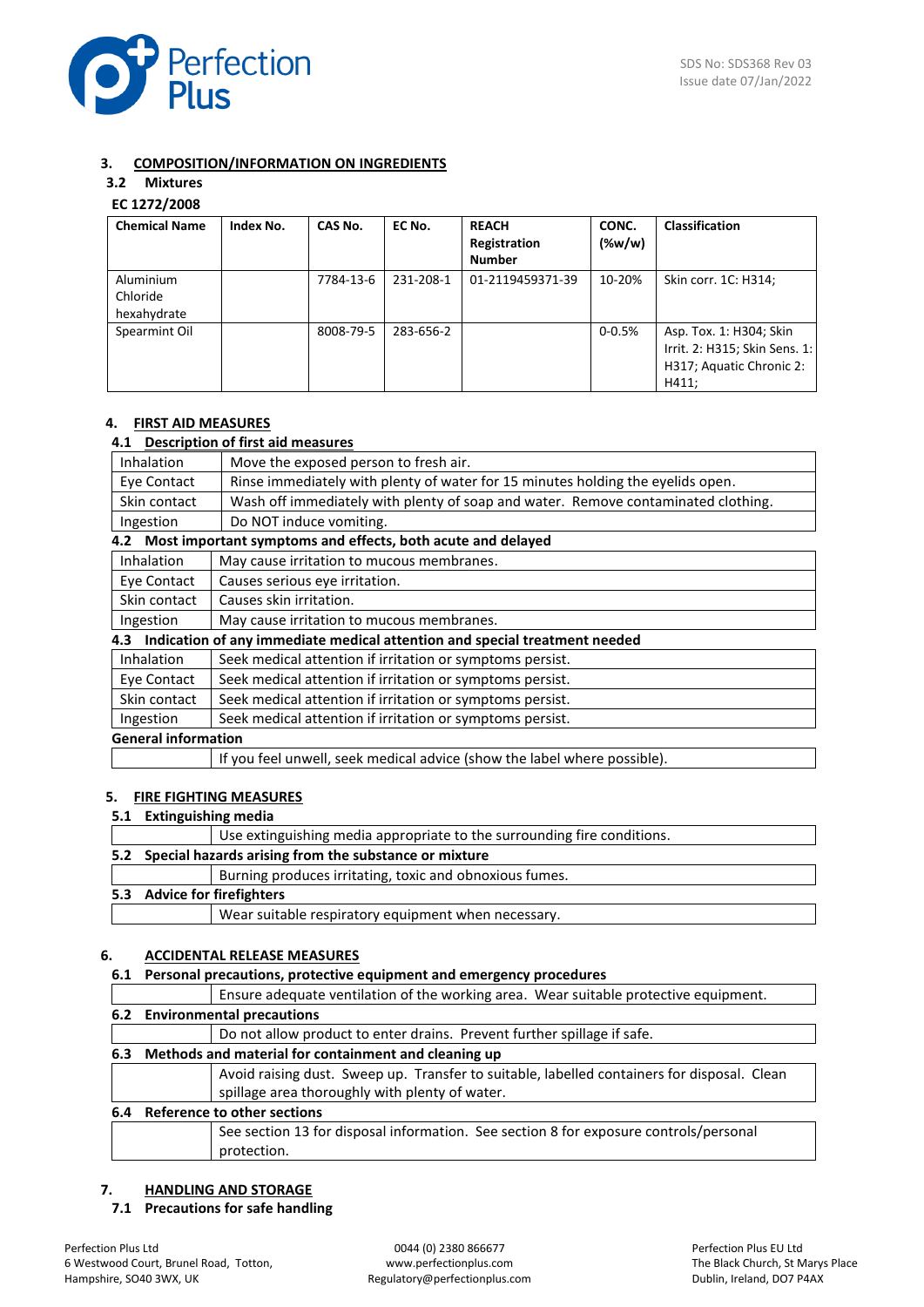

## **3. COMPOSITION/INFORMATION ON INGREDIENTS**

# **3.2 Mixtures**

# **EC 1272/2008**

| <b>Chemical Name</b>                 | Index No. | CAS No.   | EC No.    | <b>REACH</b><br>Registration | CONC.<br>$(\%w/w)$ | <b>Classification</b>                                                                         |
|--------------------------------------|-----------|-----------|-----------|------------------------------|--------------------|-----------------------------------------------------------------------------------------------|
|                                      |           |           |           | <b>Number</b>                |                    |                                                                                               |
| Aluminium<br>Chloride<br>hexahydrate |           | 7784-13-6 | 231-208-1 | 01-2119459371-39             | 10-20%             | Skin corr. 1C: H314;                                                                          |
| Spearmint Oil                        |           | 8008-79-5 | 283-656-2 |                              | $0 - 0.5%$         | Asp. Tox. 1: H304; Skin<br>Irrit. 2: H315; Skin Sens. 1:<br>H317; Aquatic Chronic 2:<br>H411; |

## **4. FIRST AID MEASURES**

## **4.1 Description of first aid measures**

| Inhalation                 | Move the exposed person to fresh air.                                             |  |
|----------------------------|-----------------------------------------------------------------------------------|--|
| Eye Contact                | Rinse immediately with plenty of water for 15 minutes holding the eyelids open.   |  |
| Skin contact               | Wash off immediately with plenty of soap and water. Remove contaminated clothing. |  |
| Ingestion                  | Do NOT induce vomiting.                                                           |  |
|                            | 4.2 Most important symptoms and effects, both acute and delayed                   |  |
| <b>Inhalation</b>          | May cause irritation to mucous membranes.                                         |  |
| Eye Contact                | Causes serious eye irritation.                                                    |  |
| Skin contact               | Causes skin irritation.                                                           |  |
| Ingestion                  | May cause irritation to mucous membranes.                                         |  |
|                            | 4.3 Indication of any immediate medical attention and special treatment needed    |  |
| <b>Inhalation</b>          | Seek medical attention if irritation or symptoms persist.                         |  |
| Eye Contact                | Seek medical attention if irritation or symptoms persist.                         |  |
| Skin contact               | Seek medical attention if irritation or symptoms persist.                         |  |
| Ingestion                  | Seek medical attention if irritation or symptoms persist.                         |  |
| <b>General information</b> |                                                                                   |  |
|                            | If you feel unwell, seek medical advice (show the label where possible).          |  |

## **5. FIRE FIGHTING MEASURES**

**5.1 Extinguishing media**

|                                                           | Use extinguishing media appropriate to the surrounding fire conditions. |  |
|-----------------------------------------------------------|-------------------------------------------------------------------------|--|
| 5.2 Special hazards arising from the substance or mixture |                                                                         |  |
|                                                           | Burning produces irritating, toxic and obnoxious fumes.                 |  |
| 5.3 Advice for firefighters                               |                                                                         |  |
|                                                           | Wear suitable respiratory equipment when necessary.                     |  |
|                                                           |                                                                         |  |

## **6. ACCIDENTAL RELEASE MEASURES**

## **6.1 Personal precautions, protective equipment and emergency procedures**

|     | Ensure adequate ventilation of the working area. Wear suitable protective equipment.        |  |  |
|-----|---------------------------------------------------------------------------------------------|--|--|
|     | 6.2 Environmental precautions                                                               |  |  |
|     | Do not allow product to enter drains. Prevent further spillage if safe.                     |  |  |
| 6.3 | Methods and material for containment and cleaning up                                        |  |  |
|     | Avoid raising dust. Sweep up. Transfer to suitable, labelled containers for disposal. Clean |  |  |
|     | spillage area thoroughly with plenty of water.                                              |  |  |
| 6.4 | <b>Reference to other sections</b>                                                          |  |  |
|     | See section 13 for disposal information. See section 8 for exposure controls/personal       |  |  |
|     | protection.                                                                                 |  |  |

## **7. HANDLING AND STORAGE**

**7.1 Precautions for safe handling**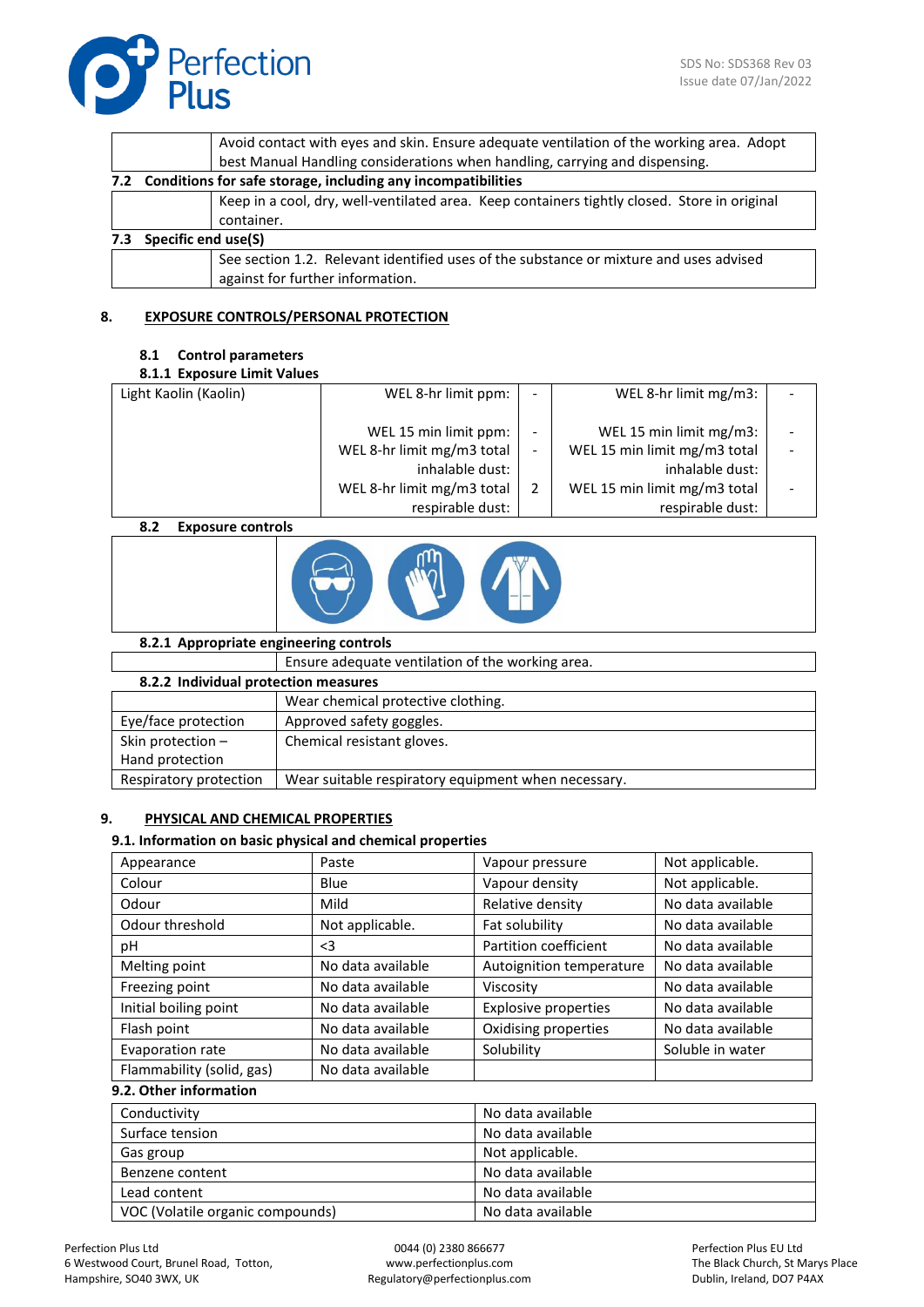|     |                                                                  | Avoid contact with eyes and skin. Ensure adequate ventilation of the working area. Adopt     |  |
|-----|------------------------------------------------------------------|----------------------------------------------------------------------------------------------|--|
|     |                                                                  | best Manual Handling considerations when handling, carrying and dispensing.                  |  |
|     | 7.2 Conditions for safe storage, including any incompatibilities |                                                                                              |  |
|     |                                                                  | Keep in a cool, dry, well-ventilated area. Keep containers tightly closed. Store in original |  |
|     |                                                                  | container.                                                                                   |  |
| 7.3 | <b>Specific end use(S)</b>                                       |                                                                                              |  |
|     |                                                                  | See section 1.2. Relevant identified uses of the substance or mixture and uses advised       |  |
|     |                                                                  | against for further information.                                                             |  |

## **8. EXPOSURE CONTROLS/PERSONAL PROTECTION**

## **8.1 Control parameters**

## **8.1.1 Exposure Limit Values**

| Light Kaolin (Kaolin)      | WEL 8-hr limit ppm:                                 | - | WEL 8-hr limit mg/m3:                                   |  |
|----------------------------|-----------------------------------------------------|---|---------------------------------------------------------|--|
|                            | WEL 15 min limit ppm:<br>WEL 8-hr limit mg/m3 total | - | WEL 15 min limit mg/m3:<br>WEL 15 min limit mg/m3 total |  |
|                            | inhalable dust:                                     |   | inhalable dust:                                         |  |
|                            | WEL 8-hr limit mg/m3 total                          |   | WEL 15 min limit mg/m3 total                            |  |
|                            | respirable dust:                                    |   | respirable dust:                                        |  |
| 0, 20<br>Funasiwa aantuala |                                                     |   |                                                         |  |

## **8.2 Exposure controls**



## **8.2.1 Appropriate engineering controls**

|                                      | Ensure adequate ventilation of the working area.    |  |
|--------------------------------------|-----------------------------------------------------|--|
| 8.2.2 Individual protection measures |                                                     |  |
|                                      | Wear chemical protective clothing.                  |  |
| Eye/face protection                  | Approved safety goggles.                            |  |
| Skin protection -                    | Chemical resistant gloves.                          |  |
| Hand protection                      |                                                     |  |
| Respiratory protection               | Wear suitable respiratory equipment when necessary. |  |

## **9. PHYSICAL AND CHEMICAL PROPERTIES**

## **9.1. Information on basic physical and chemical properties**

| Appearance                | Paste             | Vapour pressure          | Not applicable.   |
|---------------------------|-------------------|--------------------------|-------------------|
| Colour                    | Blue              | Vapour density           | Not applicable.   |
| Odour                     | Mild              | Relative density         | No data available |
| Odour threshold           | Not applicable.   | Fat solubility           | No data available |
| рH                        | $\leq$ 3          | Partition coefficient    | No data available |
| Melting point             | No data available | Autoignition temperature | No data available |
| Freezing point            | No data available | Viscosity                | No data available |
| Initial boiling point     | No data available | Explosive properties     | No data available |
| Flash point               | No data available | Oxidising properties     | No data available |
| Evaporation rate          | No data available | Solubility               | Soluble in water  |
| Flammability (solid, gas) | No data available |                          |                   |
| 9.2. Other information    |                   |                          |                   |

| Conductivity                     | No data available |
|----------------------------------|-------------------|
| Surface tension                  | No data available |
| Gas group                        | Not applicable.   |
| Benzene content                  | No data available |
| Lead content                     | No data available |
| VOC (Volatile organic compounds) | No data available |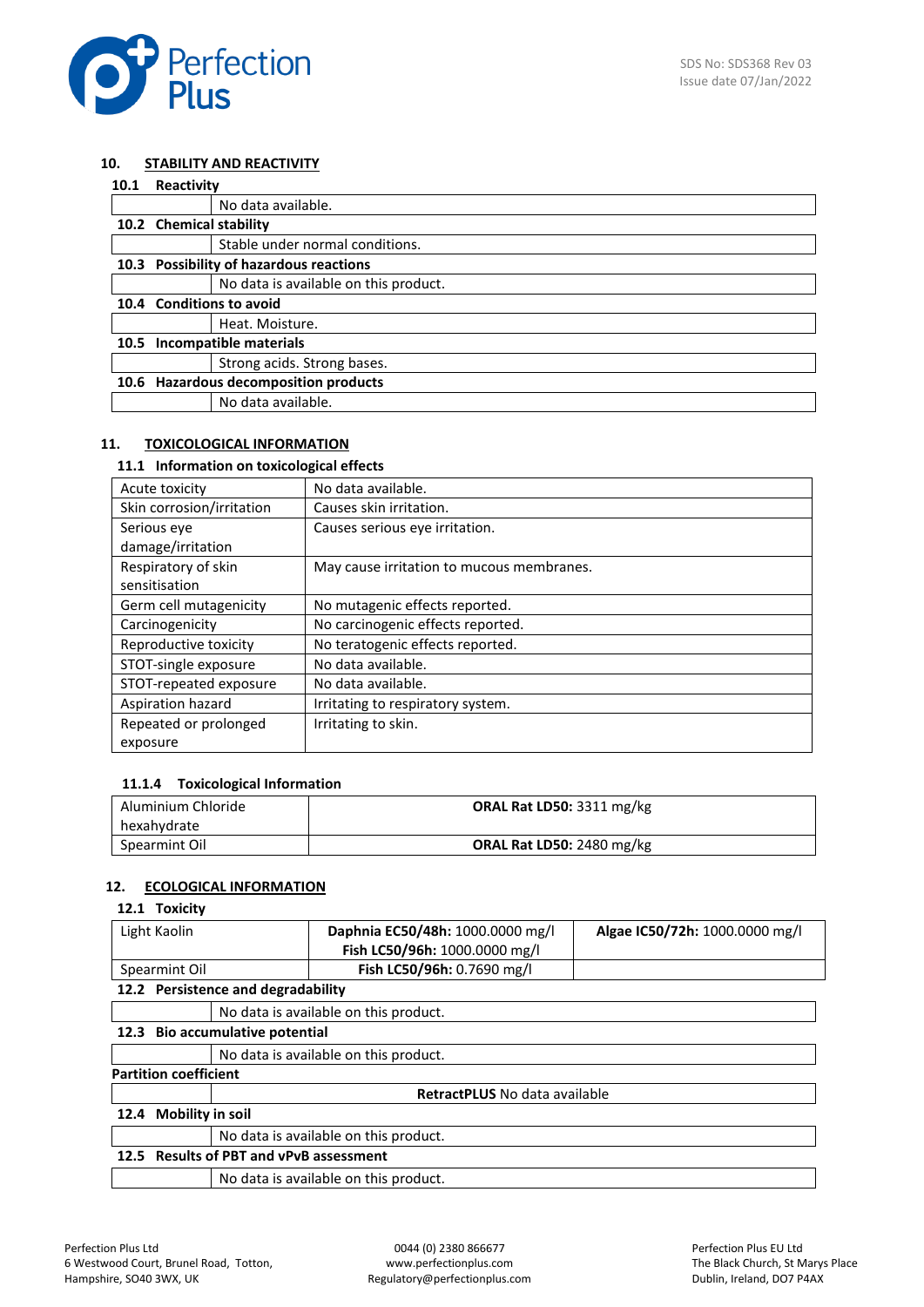

## **10. STABILITY AND REACTIVITY**

| 10.1 |                                         | Reactivity                              |  |
|------|-----------------------------------------|-----------------------------------------|--|
|      |                                         | No data available.                      |  |
|      | 10.2 Chemical stability                 |                                         |  |
|      |                                         | Stable under normal conditions.         |  |
|      |                                         | 10.3 Possibility of hazardous reactions |  |
|      |                                         | No data is available on this product.   |  |
| 10.4 |                                         | <b>Conditions to avoid</b>              |  |
|      |                                         | Heat. Moisture.                         |  |
| 10.5 | Incompatible materials                  |                                         |  |
|      |                                         | Strong acids. Strong bases.             |  |
| 10.6 | <b>Hazardous decomposition products</b> |                                         |  |
|      |                                         | No data available.                      |  |

## **11. TOXICOLOGICAL INFORMATION**

## **11.1 Information on toxicological effects**

| Acute toxicity            | No data available.                        |
|---------------------------|-------------------------------------------|
| Skin corrosion/irritation | Causes skin irritation.                   |
| Serious eye               | Causes serious eye irritation.            |
| damage/irritation         |                                           |
| Respiratory of skin       | May cause irritation to mucous membranes. |
| sensitisation             |                                           |
| Germ cell mutagenicity    | No mutagenic effects reported.            |
| Carcinogenicity           | No carcinogenic effects reported.         |
| Reproductive toxicity     | No teratogenic effects reported.          |
| STOT-single exposure      | No data available.                        |
| STOT-repeated exposure    | No data available.                        |
| Aspiration hazard         | Irritating to respiratory system.         |
| Repeated or prolonged     | Irritating to skin.                       |
| exposure                  |                                           |

## **11.1.4 Toxicological Information**

| Aluminium Chloride<br>hexahydrate | ORAL Rat LD50: 3311 mg/kg        |
|-----------------------------------|----------------------------------|
|                                   |                                  |
| Spearmint Oil                     | <b>ORAL Rat LD50: 2480 mg/kg</b> |

## **12. ECOLOGICAL INFORMATION**

## **12.1 Toxicity**

| Light Kaolin                       |                                         | Daphnia EC50/48h: 1000.0000 mg/l      | Algae IC50/72h: 1000.0000 mg/l |  |
|------------------------------------|-----------------------------------------|---------------------------------------|--------------------------------|--|
|                                    |                                         | Fish LC50/96h: 1000.0000 mg/l         |                                |  |
| Spearmint Oil                      |                                         | Fish LC50/96h: 0.7690 mg/l            |                                |  |
| 12.2 Persistence and degradability |                                         |                                       |                                |  |
|                                    |                                         | No data is available on this product. |                                |  |
|                                    | 12.3 Bio accumulative potential         |                                       |                                |  |
|                                    |                                         | No data is available on this product. |                                |  |
| <b>Partition coefficient</b>       |                                         |                                       |                                |  |
|                                    |                                         | <b>RetractPLUS</b> No data available  |                                |  |
| 12.4                               | <b>Mobility in soil</b>                 |                                       |                                |  |
|                                    |                                         | No data is available on this product. |                                |  |
|                                    | 12.5 Results of PBT and vPvB assessment |                                       |                                |  |
|                                    |                                         | No data is available on this product. |                                |  |
|                                    |                                         |                                       |                                |  |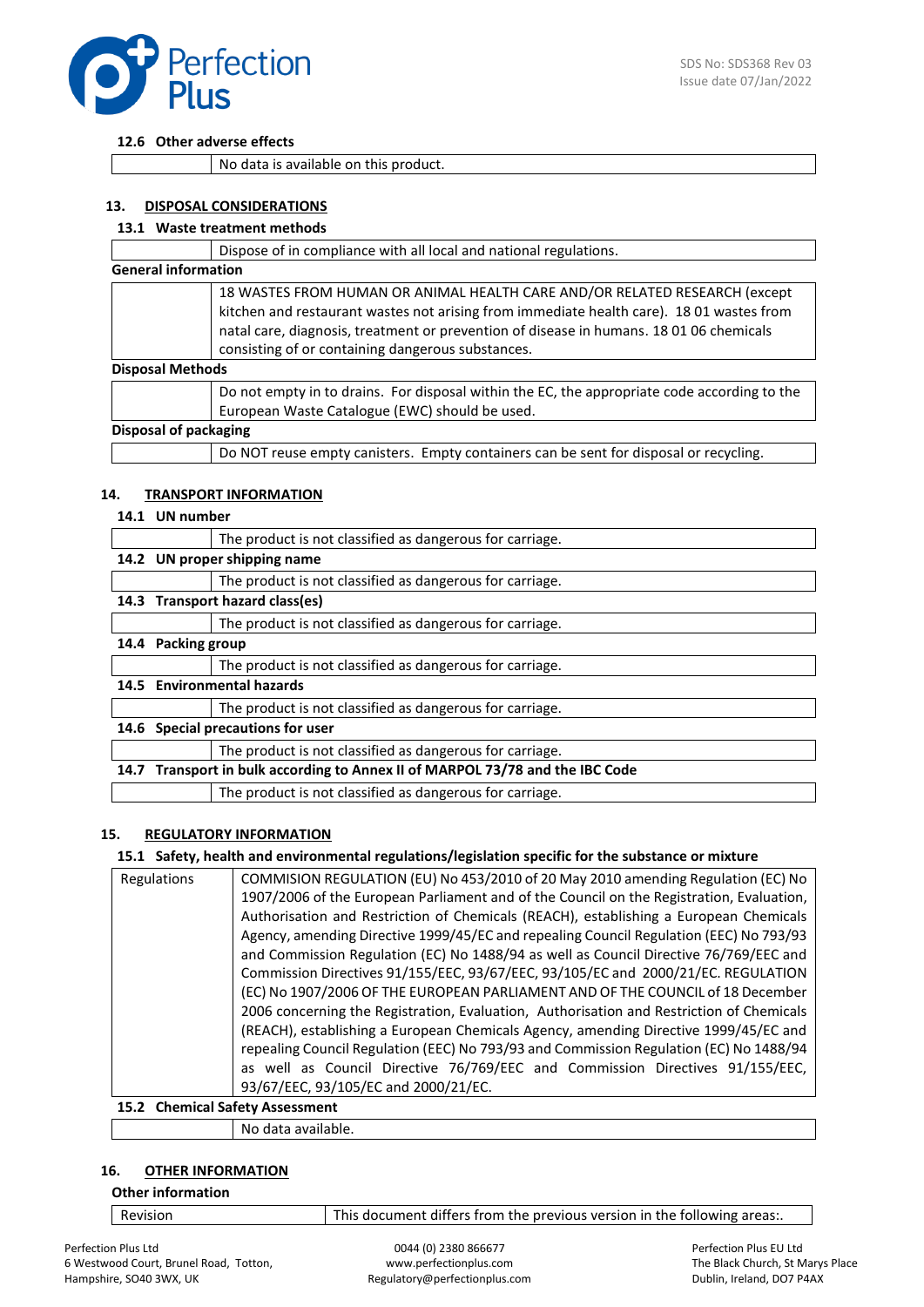

#### **12.6 Other adverse effects**

No data is available on this product.

## **13. DISPOSAL CONSIDERATIONS**

## **13.1 Waste treatment methods**

| Dispose of in compliance with all local and national regulations.                                                                                                                                                                                                                                                                                 |
|---------------------------------------------------------------------------------------------------------------------------------------------------------------------------------------------------------------------------------------------------------------------------------------------------------------------------------------------------|
| <b>General information</b>                                                                                                                                                                                                                                                                                                                        |
| 18 WASTES FROM HUMAN OR ANIMAL HEALTH CARE AND/OR RELATED RESEARCH (except<br>kitchen and restaurant wastes not arising from immediate health care). 18 01 wastes from<br>natal care, diagnosis, treatment or prevention of disease in humans. 18 01 06 chemicals<br>consisting of or containing dangerous substances.<br><b>Disposal Methods</b> |
| Do not empty in to drains. For disposal within the EC, the appropriate code according to the                                                                                                                                                                                                                                                      |
| European Waste Catalogue (EWC) should be used.                                                                                                                                                                                                                                                                                                    |
| Disposal of packaging                                                                                                                                                                                                                                                                                                                             |
| Do NOT reuse empty canisters. Empty containers can be sent for disposal or recycling.                                                                                                                                                                                                                                                             |

#### **14. TRANSPORT INFORMATION**

#### **14.1 UN number**

|                                      |                                                                               | The product is not classified as dangerous for carriage. |  |
|--------------------------------------|-------------------------------------------------------------------------------|----------------------------------------------------------|--|
|                                      | 14.2 UN proper shipping name                                                  |                                                          |  |
|                                      |                                                                               | The product is not classified as dangerous for carriage. |  |
|                                      | 14.3 Transport hazard class(es)                                               |                                                          |  |
|                                      |                                                                               | The product is not classified as dangerous for carriage. |  |
| 14.4                                 | <b>Packing group</b>                                                          |                                                          |  |
|                                      |                                                                               | The product is not classified as dangerous for carriage. |  |
| <b>Environmental hazards</b><br>14.5 |                                                                               |                                                          |  |
|                                      |                                                                               | The product is not classified as dangerous for carriage. |  |
| 14.6                                 | Special precautions for user                                                  |                                                          |  |
|                                      |                                                                               | The product is not classified as dangerous for carriage. |  |
|                                      | 14.7 Transport in bulk according to Annex II of MARPOL 73/78 and the IBC Code |                                                          |  |
|                                      |                                                                               | The product is not classified as dangerous for carriage. |  |

#### **15. REGULATORY INFORMATION**

## **15.1 Safety, health and environmental regulations/legislation specific for the substance or mixture**

| Regulations | COMMISION REGULATION (EU) No 453/2010 of 20 May 2010 amending Regulation (EC) No         |
|-------------|------------------------------------------------------------------------------------------|
|             | 1907/2006 of the European Parliament and of the Council on the Registration, Evaluation, |
|             | Authorisation and Restriction of Chemicals (REACH), establishing a European Chemicals    |
|             | Agency, amending Directive 1999/45/EC and repealing Council Regulation (EEC) No 793/93   |
|             | and Commission Regulation (EC) No 1488/94 as well as Council Directive 76/769/EEC and    |
|             | Commission Directives 91/155/EEC, 93/67/EEC, 93/105/EC and 2000/21/EC. REGULATION        |
|             | (EC) No 1907/2006 OF THE EUROPEAN PARLIAMENT AND OF THE COUNCIL of 18 December           |
|             | 2006 concerning the Registration, Evaluation, Authorisation and Restriction of Chemicals |
|             | (REACH), establishing a European Chemicals Agency, amending Directive 1999/45/EC and     |
|             | repealing Council Regulation (EEC) No 793/93 and Commission Regulation (EC) No 1488/94   |
|             | as well as Council Directive 76/769/EEC and Commission Directives 91/155/EEC,            |
|             | 93/67/EEC, 93/105/EC and 2000/21/EC.                                                     |
|             |                                                                                          |

## **15.2 Chemical Safety Assessment**

No data available.

## **16. OTHER INFORMATION**

### **Other information**

Revision  $\vert$  This document differs from the previous version in the following areas:.